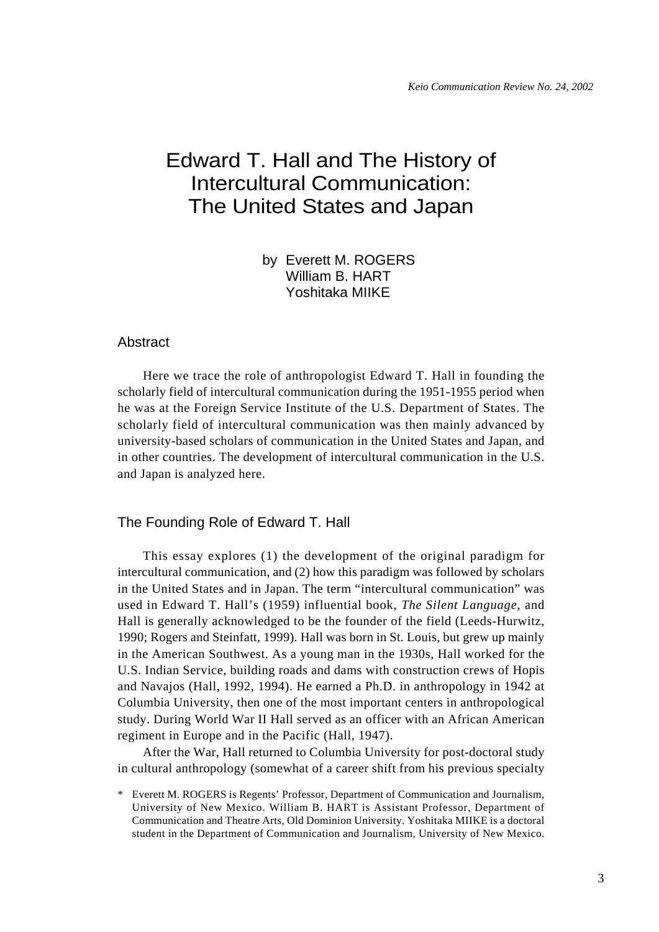# Edward T. Hall and The History of Intercultural Communication: The United States and Japan

by Everett M. ROGERS William B. HART Yoshitaka MIIKE

#### Abstract

Here we trace the role of anthropologist Edward T. Hall in founding the scholarly field of intercultural communication during the 1951-1955 period when he was at the Foreign Service Institute of the U.S. Department of States. The scholarly field of intercultural communication was then mainly advanced by university-based scholars of communication in the United States and Japan, and in other countries. The development of intercultural communication in the U.S. and Japan is analyzed here.

## The Founding Role of Edward T. Hall

This essay explores (1) the development of the original paradigm for intercultural communication, and (2) how this paradigm was followed by scholars in the United States and in Japan. The term "intercultural communication" was used in Edward T. Hall's (1959) influential book, *The Silent Language*, and Hall is generally acknowledged to be the founder of the field (Leeds-Hurwitz, 1990; Rogers and Steinfatt, 1999). Hall was born in St. Louis, but grew up mainly in the American Southwest. As a young man in the 1930s, Hall worked for the U.S. Indian Service, building roads and dams with construction crews of Hopis and Navajos (Hall, 1992, 1994). He earned a Ph.D. in anthropology in 1942 at Columbia University, then one of the most important centers in anthropological study. During World War II Hall served as an officer with an African American regiment in Europe and in the Pacific (Hall, 1947).

After the War, Hall returned to Columbia University for post-doctoral study in cultural anthropology (somewhat of a career shift from his previous specialty

<sup>\*</sup> Everett M. ROGERS is Regents' Professor, Department of Communication and Journalism, University of New Mexico. William B. HART is Assistant Professor, Department of Communication and Theatre Arts, Old Dominion University. Yoshitaka MIIKE is a doctoral student in the Department of Communication and Journalism, University of New Mexico.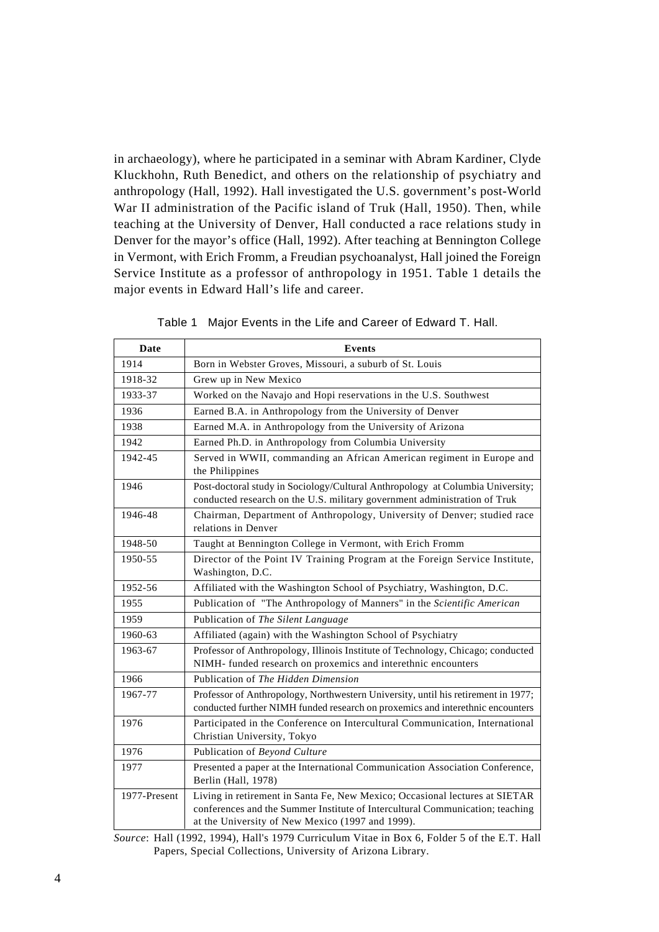in archaeology), where he participated in a seminar with Abram Kardiner, Clyde Kluckhohn, Ruth Benedict, and others on the relationship of psychiatry and anthropology (Hall, 1992). Hall investigated the U.S. government's post-World War II administration of the Pacific island of Truk (Hall, 1950). Then, while teaching at the University of Denver, Hall conducted a race relations study in Denver for the mayor's office (Hall, 1992). After teaching at Bennington College in Vermont, with Erich Fromm, a Freudian psychoanalyst, Hall joined the Foreign Service Institute as a professor of anthropology in 1951. Table 1 details the major events in Edward Hall's life and career.

| <b>Date</b>  | <b>Events</b>                                                                                                                                                                                                    |
|--------------|------------------------------------------------------------------------------------------------------------------------------------------------------------------------------------------------------------------|
| 1914         | Born in Webster Groves, Missouri, a suburb of St. Louis                                                                                                                                                          |
| 1918-32      | Grew up in New Mexico                                                                                                                                                                                            |
| 1933-37      | Worked on the Navajo and Hopi reservations in the U.S. Southwest                                                                                                                                                 |
| 1936         | Earned B.A. in Anthropology from the University of Denver                                                                                                                                                        |
| 1938         | Earned M.A. in Anthropology from the University of Arizona                                                                                                                                                       |
| 1942         | Earned Ph.D. in Anthropology from Columbia University                                                                                                                                                            |
| 1942-45      | Served in WWII, commanding an African American regiment in Europe and<br>the Philippines                                                                                                                         |
| 1946         | Post-doctoral study in Sociology/Cultural Anthropology at Columbia University;<br>conducted research on the U.S. military government administration of Truk                                                      |
| 1946-48      | Chairman, Department of Anthropology, University of Denver; studied race<br>relations in Denver                                                                                                                  |
| 1948-50      | Taught at Bennington College in Vermont, with Erich Fromm                                                                                                                                                        |
| 1950-55      | Director of the Point IV Training Program at the Foreign Service Institute,<br>Washington, D.C.                                                                                                                  |
| 1952-56      | Affiliated with the Washington School of Psychiatry, Washington, D.C.                                                                                                                                            |
| 1955         | Publication of "The Anthropology of Manners" in the Scientific American                                                                                                                                          |
| 1959         | Publication of The Silent Language                                                                                                                                                                               |
| 1960-63      | Affiliated (again) with the Washington School of Psychiatry                                                                                                                                                      |
| 1963-67      | Professor of Anthropology, Illinois Institute of Technology, Chicago; conducted<br>NIMH- funded research on proxemics and interethnic encounters                                                                 |
| 1966         | Publication of The Hidden Dimension                                                                                                                                                                              |
| 1967-77      | Professor of Anthropology, Northwestern University, until his retirement in 1977;<br>conducted further NIMH funded research on proxemics and interethnic encounters                                              |
| 1976         | Participated in the Conference on Intercultural Communication, International<br>Christian University, Tokyo                                                                                                      |
| 1976         | Publication of Beyond Culture                                                                                                                                                                                    |
| 1977         | Presented a paper at the International Communication Association Conference,<br>Berlin (Hall, 1978)                                                                                                              |
| 1977-Present | Living in retirement in Santa Fe, New Mexico; Occasional lectures at SIETAR<br>conferences and the Summer Institute of Intercultural Communication; teaching<br>at the University of New Mexico (1997 and 1999). |

Table 1 Major Events in the Life and Career of Edward T. Hall.

*Source*: Hall (1992, 1994), Hall's 1979 Curriculum Vitae in Box 6, Folder 5 of the E.T. Hall Papers, Special Collections, University of Arizona Library.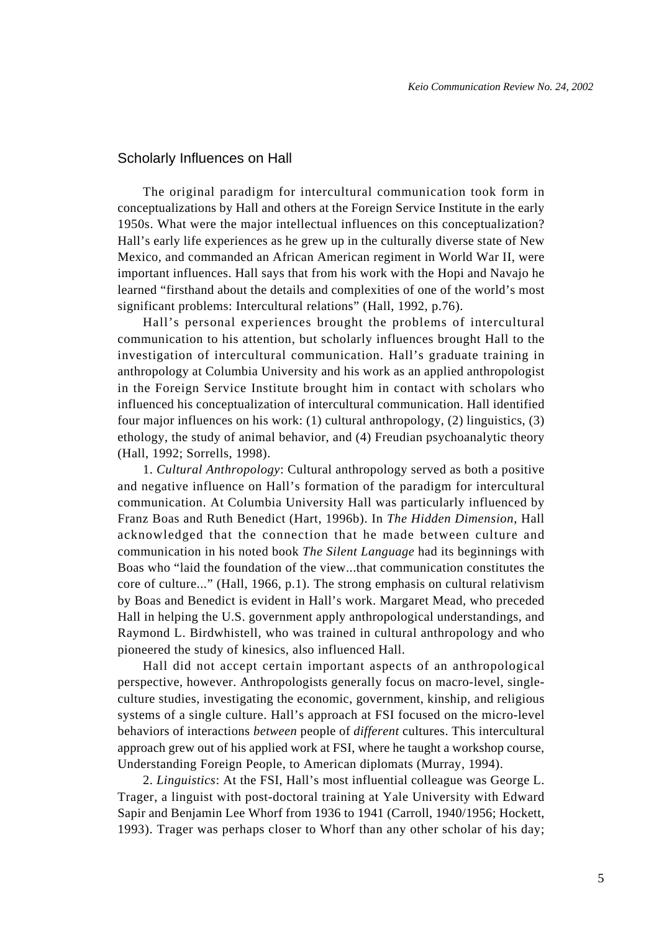#### Scholarly Influences on Hall

The original paradigm for intercultural communication took form in conceptualizations by Hall and others at the Foreign Service Institute in the early 1950s. What were the major intellectual influences on this conceptualization? Hall's early life experiences as he grew up in the culturally diverse state of New Mexico, and commanded an African American regiment in World War II, were important influences. Hall says that from his work with the Hopi and Navajo he learned "firsthand about the details and complexities of one of the world's most significant problems: Intercultural relations" (Hall, 1992, p.76).

Hall's personal experiences brought the problems of intercultural communication to his attention, but scholarly influences brought Hall to the investigation of intercultural communication. Hall's graduate training in anthropology at Columbia University and his work as an applied anthropologist in the Foreign Service Institute brought him in contact with scholars who influenced his conceptualization of intercultural communication. Hall identified four major influences on his work: (1) cultural anthropology, (2) linguistics, (3) ethology, the study of animal behavior, and (4) Freudian psychoanalytic theory (Hall, 1992; Sorrells, 1998).

1. *Cultural Anthropology*: Cultural anthropology served as both a positive and negative influence on Hall's formation of the paradigm for intercultural communication. At Columbia University Hall was particularly influenced by Franz Boas and Ruth Benedict (Hart, 1996b). In *The Hidden Dimension*, Hall acknowledged that the connection that he made between culture and communication in his noted book *The Silent Language* had its beginnings with Boas who "laid the foundation of the view...that communication constitutes the core of culture..." (Hall, 1966, p.1). The strong emphasis on cultural relativism by Boas and Benedict is evident in Hall's work. Margaret Mead, who preceded Hall in helping the U.S. government apply anthropological understandings, and Raymond L. Birdwhistell, who was trained in cultural anthropology and who pioneered the study of kinesics, also influenced Hall.

Hall did not accept certain important aspects of an anthropological perspective, however. Anthropologists generally focus on macro-level, singleculture studies, investigating the economic, government, kinship, and religious systems of a single culture. Hall's approach at FSI focused on the micro-level behaviors of interactions *between* people of *different* cultures. This intercultural approach grew out of his applied work at FSI, where he taught a workshop course, Understanding Foreign People, to American diplomats (Murray, 1994).

2. *Linguistics*: At the FSI, Hall's most influential colleague was George L. Trager, a linguist with post-doctoral training at Yale University with Edward Sapir and Benjamin Lee Whorf from 1936 to 1941 (Carroll, 1940/1956; Hockett, 1993). Trager was perhaps closer to Whorf than any other scholar of his day;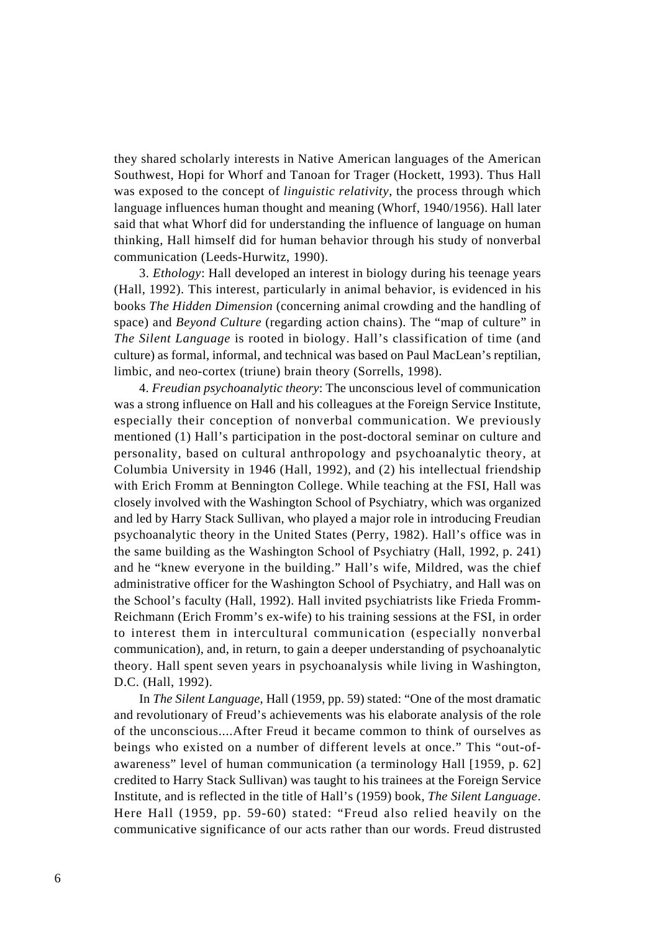they shared scholarly interests in Native American languages of the American Southwest, Hopi for Whorf and Tanoan for Trager (Hockett, 1993). Thus Hall was exposed to the concept of *linguistic relativity*, the process through which language influences human thought and meaning (Whorf, 1940/1956). Hall later said that what Whorf did for understanding the influence of language on human thinking, Hall himself did for human behavior through his study of nonverbal communication (Leeds-Hurwitz, 1990).

3. *Ethology*: Hall developed an interest in biology during his teenage years (Hall, 1992). This interest, particularly in animal behavior, is evidenced in his books *The Hidden Dimension* (concerning animal crowding and the handling of space) and *Beyond Culture* (regarding action chains). The "map of culture" in *The Silent Language* is rooted in biology. Hall's classification of time (and culture) as formal, informal, and technical was based on Paul MacLean's reptilian, limbic, and neo-cortex (triune) brain theory (Sorrells, 1998).

4. *Freudian psychoanalytic theory*: The unconscious level of communication was a strong influence on Hall and his colleagues at the Foreign Service Institute, especially their conception of nonverbal communication. We previously mentioned (1) Hall's participation in the post-doctoral seminar on culture and personality, based on cultural anthropology and psychoanalytic theory, at Columbia University in 1946 (Hall, 1992), and (2) his intellectual friendship with Erich Fromm at Bennington College. While teaching at the FSI, Hall was closely involved with the Washington School of Psychiatry, which was organized and led by Harry Stack Sullivan, who played a major role in introducing Freudian psychoanalytic theory in the United States (Perry, 1982). Hall's office was in the same building as the Washington School of Psychiatry (Hall, 1992, p. 241) and he "knew everyone in the building." Hall's wife, Mildred, was the chief administrative officer for the Washington School of Psychiatry, and Hall was on the School's faculty (Hall, 1992). Hall invited psychiatrists like Frieda Fromm-Reichmann (Erich Fromm's ex-wife) to his training sessions at the FSI, in order to interest them in intercultural communication (especially nonverbal communication), and, in return, to gain a deeper understanding of psychoanalytic theory. Hall spent seven years in psychoanalysis while living in Washington, D.C. (Hall, 1992).

In *The Silent Language*, Hall (1959, pp. 59) stated: "One of the most dramatic and revolutionary of Freud's achievements was his elaborate analysis of the role of the unconscious....After Freud it became common to think of ourselves as beings who existed on a number of different levels at once." This "out-ofawareness" level of human communication (a terminology Hall [1959, p. 62] credited to Harry Stack Sullivan) was taught to his trainees at the Foreign Service Institute, and is reflected in the title of Hall's (1959) book, *The Silent Language*. Here Hall (1959, pp. 59-60) stated: "Freud also relied heavily on the communicative significance of our acts rather than our words. Freud distrusted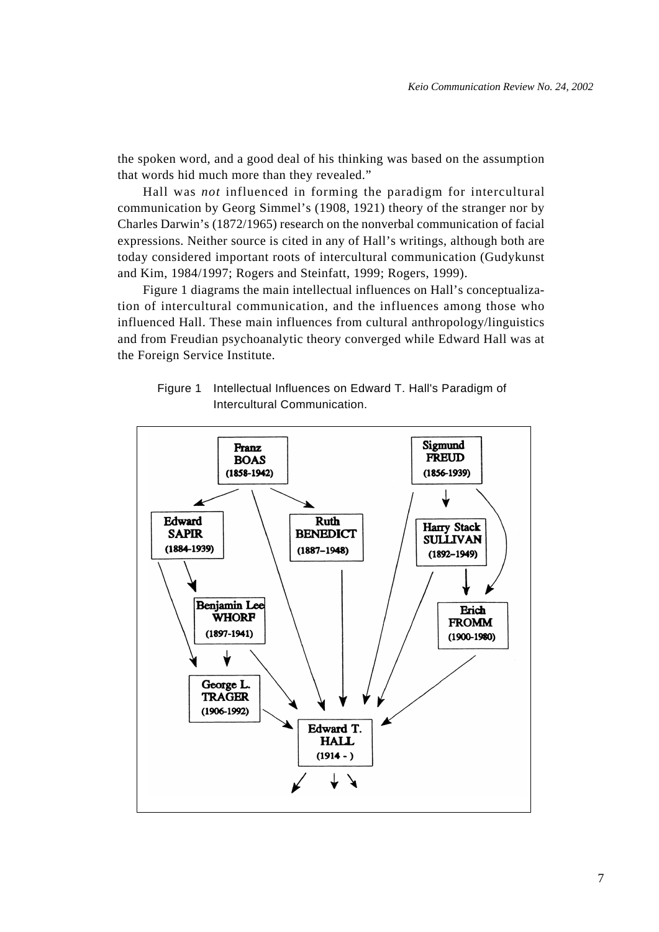the spoken word, and a good deal of his thinking was based on the assumption that words hid much more than they revealed."

Hall was *not* influenced in forming the paradigm for intercultural communication by Georg Simmel's (1908, 1921) theory of the stranger nor by Charles Darwin's (1872/1965) research on the nonverbal communication of facial expressions. Neither source is cited in any of Hall's writings, although both are today considered important roots of intercultural communication (Gudykunst and Kim, 1984/1997; Rogers and Steinfatt, 1999; Rogers, 1999).

Figure 1 diagrams the main intellectual influences on Hall's conceptualization of intercultural communication, and the influences among those who influenced Hall. These main influences from cultural anthropology/linguistics and from Freudian psychoanalytic theory converged while Edward Hall was at the Foreign Service Institute.



Figure 1 Intellectual Influences on Edward T. Hall's Paradigm of Intercultural Communication.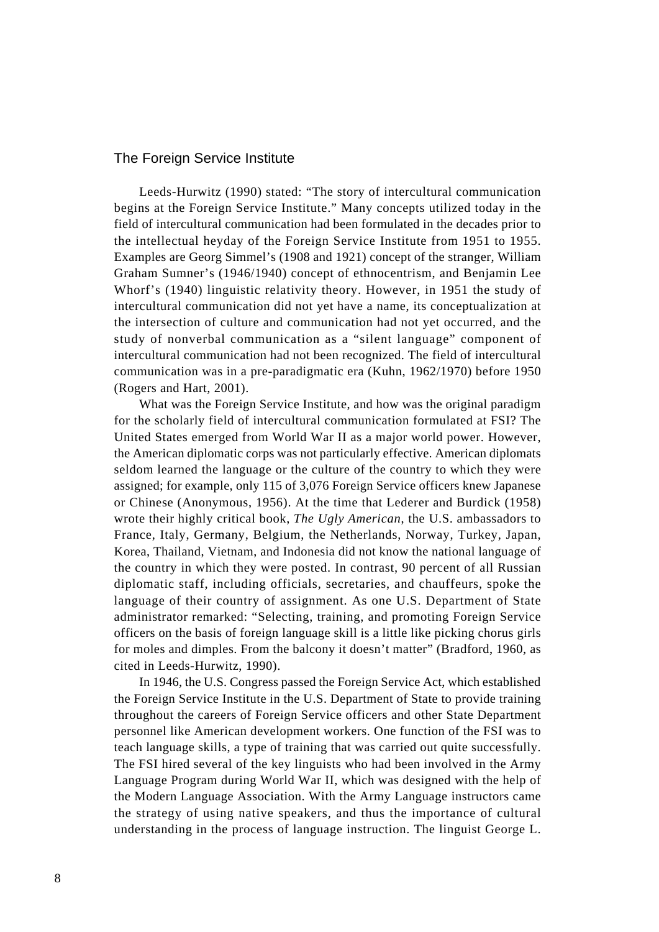#### The Foreign Service Institute

Leeds-Hurwitz (1990) stated: "The story of intercultural communication begins at the Foreign Service Institute." Many concepts utilized today in the field of intercultural communication had been formulated in the decades prior to the intellectual heyday of the Foreign Service Institute from 1951 to 1955. Examples are Georg Simmel's (1908 and 1921) concept of the stranger, William Graham Sumner's (1946/1940) concept of ethnocentrism, and Benjamin Lee Whorf's (1940) linguistic relativity theory. However, in 1951 the study of intercultural communication did not yet have a name, its conceptualization at the intersection of culture and communication had not yet occurred, and the study of nonverbal communication as a "silent language" component of intercultural communication had not been recognized. The field of intercultural communication was in a pre-paradigmatic era (Kuhn, 1962/1970) before 1950 (Rogers and Hart, 2001).

What was the Foreign Service Institute, and how was the original paradigm for the scholarly field of intercultural communication formulated at FSI? The United States emerged from World War II as a major world power. However, the American diplomatic corps was not particularly effective. American diplomats seldom learned the language or the culture of the country to which they were assigned; for example, only 115 of 3,076 Foreign Service officers knew Japanese or Chinese (Anonymous, 1956). At the time that Lederer and Burdick (1958) wrote their highly critical book, *The Ugly American*, the U.S. ambassadors to France, Italy, Germany, Belgium, the Netherlands, Norway, Turkey, Japan, Korea, Thailand, Vietnam, and Indonesia did not know the national language of the country in which they were posted. In contrast, 90 percent of all Russian diplomatic staff, including officials, secretaries, and chauffeurs, spoke the language of their country of assignment. As one U.S. Department of State administrator remarked: "Selecting, training, and promoting Foreign Service officers on the basis of foreign language skill is a little like picking chorus girls for moles and dimples. From the balcony it doesn't matter" (Bradford, 1960, as cited in Leeds-Hurwitz, 1990).

In 1946, the U.S. Congress passed the Foreign Service Act, which established the Foreign Service Institute in the U.S. Department of State to provide training throughout the careers of Foreign Service officers and other State Department personnel like American development workers. One function of the FSI was to teach language skills, a type of training that was carried out quite successfully. The FSI hired several of the key linguists who had been involved in the Army Language Program during World War II, which was designed with the help of the Modern Language Association. With the Army Language instructors came the strategy of using native speakers, and thus the importance of cultural understanding in the process of language instruction. The linguist George L.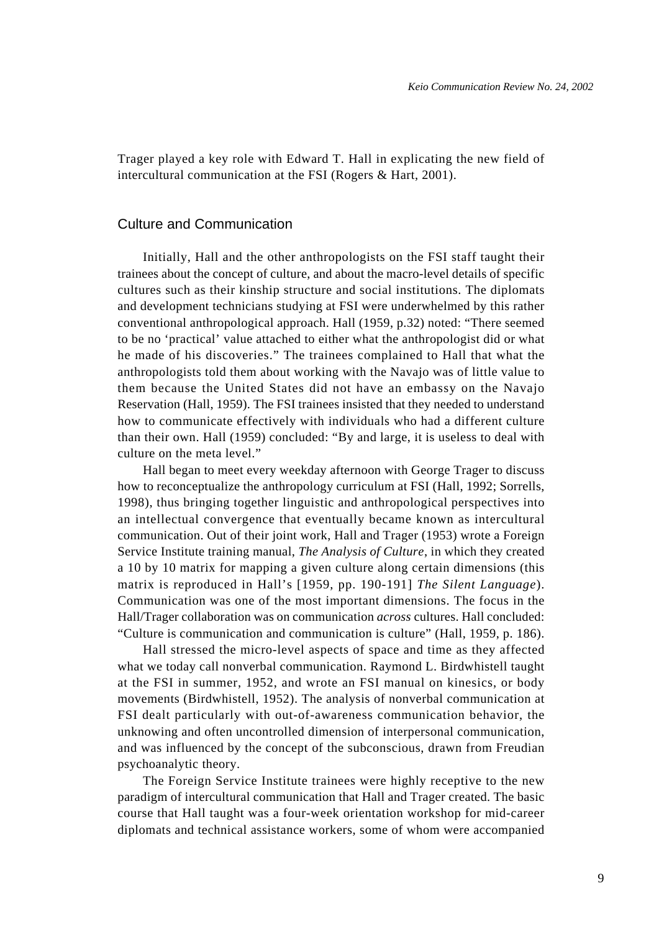Trager played a key role with Edward T. Hall in explicating the new field of intercultural communication at the FSI (Rogers & Hart, 2001).

#### Culture and Communication

Initially, Hall and the other anthropologists on the FSI staff taught their trainees about the concept of culture, and about the macro-level details of specific cultures such as their kinship structure and social institutions. The diplomats and development technicians studying at FSI were underwhelmed by this rather conventional anthropological approach. Hall (1959, p.32) noted: "There seemed to be no 'practical' value attached to either what the anthropologist did or what he made of his discoveries." The trainees complained to Hall that what the anthropologists told them about working with the Navajo was of little value to them because the United States did not have an embassy on the Navajo Reservation (Hall, 1959). The FSI trainees insisted that they needed to understand how to communicate effectively with individuals who had a different culture than their own. Hall (1959) concluded: "By and large, it is useless to deal with culture on the meta level."

Hall began to meet every weekday afternoon with George Trager to discuss how to reconceptualize the anthropology curriculum at FSI (Hall, 1992; Sorrells, 1998), thus bringing together linguistic and anthropological perspectives into an intellectual convergence that eventually became known as intercultural communication. Out of their joint work, Hall and Trager (1953) wrote a Foreign Service Institute training manual, *The Analysis of Culture*, in which they created a 10 by 10 matrix for mapping a given culture along certain dimensions (this matrix is reproduced in Hall's [1959, pp. 190-191] *The Silent Language*). Communication was one of the most important dimensions. The focus in the Hall/Trager collaboration was on communication *across* cultures. Hall concluded: "Culture is communication and communication is culture" (Hall, 1959, p. 186).

Hall stressed the micro-level aspects of space and time as they affected what we today call nonverbal communication. Raymond L. Birdwhistell taught at the FSI in summer, 1952, and wrote an FSI manual on kinesics, or body movements (Birdwhistell, 1952). The analysis of nonverbal communication at FSI dealt particularly with out-of-awareness communication behavior, the unknowing and often uncontrolled dimension of interpersonal communication, and was influenced by the concept of the subconscious, drawn from Freudian psychoanalytic theory.

The Foreign Service Institute trainees were highly receptive to the new paradigm of intercultural communication that Hall and Trager created. The basic course that Hall taught was a four-week orientation workshop for mid-career diplomats and technical assistance workers, some of whom were accompanied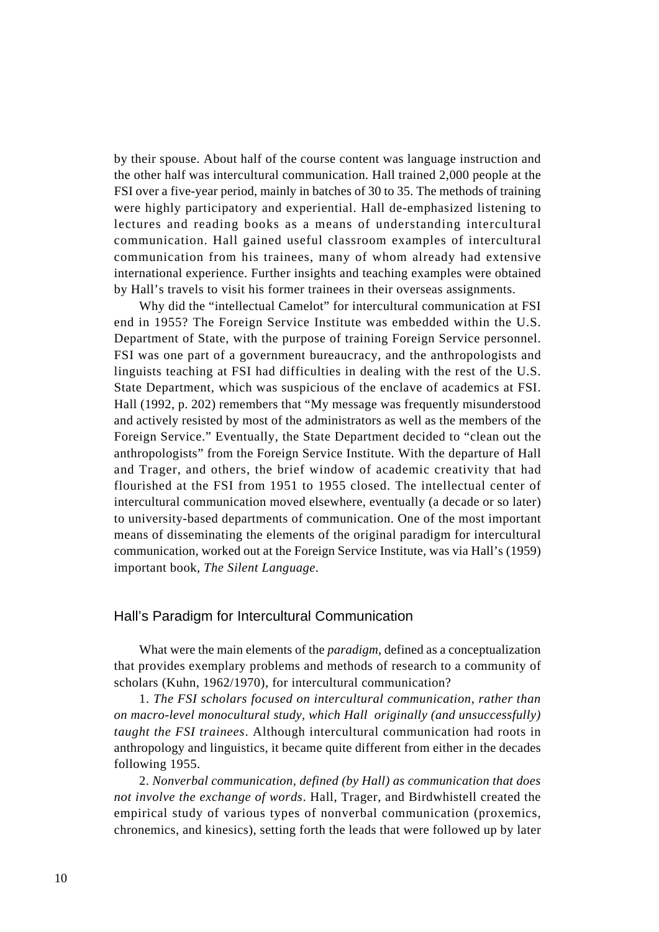by their spouse. About half of the course content was language instruction and the other half was intercultural communication. Hall trained 2,000 people at the FSI over a five-year period, mainly in batches of 30 to 35. The methods of training were highly participatory and experiential. Hall de-emphasized listening to lectures and reading books as a means of understanding intercultural communication. Hall gained useful classroom examples of intercultural communication from his trainees, many of whom already had extensive international experience. Further insights and teaching examples were obtained by Hall's travels to visit his former trainees in their overseas assignments.

Why did the "intellectual Camelot" for intercultural communication at FSI end in 1955? The Foreign Service Institute was embedded within the U.S. Department of State, with the purpose of training Foreign Service personnel. FSI was one part of a government bureaucracy, and the anthropologists and linguists teaching at FSI had difficulties in dealing with the rest of the U.S. State Department, which was suspicious of the enclave of academics at FSI. Hall (1992, p. 202) remembers that "My message was frequently misunderstood and actively resisted by most of the administrators as well as the members of the Foreign Service." Eventually, the State Department decided to "clean out the anthropologists" from the Foreign Service Institute. With the departure of Hall and Trager, and others, the brief window of academic creativity that had flourished at the FSI from 1951 to 1955 closed. The intellectual center of intercultural communication moved elsewhere, eventually (a decade or so later) to university-based departments of communication. One of the most important means of disseminating the elements of the original paradigm for intercultural communication, worked out at the Foreign Service Institute, was via Hall's (1959) important book, *The Silent Language*.

## Hall's Paradigm for Intercultural Communication

What were the main elements of the *paradigm*, defined as a conceptualization that provides exemplary problems and methods of research to a community of scholars (Kuhn, 1962/1970), for intercultural communication?

1. *The FSI scholars focused on intercultural communication, rather than on macro-level monocultural study, which Hall originally (and unsuccessfully) taught the FSI trainees*. Although intercultural communication had roots in anthropology and linguistics, it became quite different from either in the decades following 1955.

2. *Nonverbal communication, defined (by Hall) as communication that does not involve the exchange of words*. Hall, Trager, and Birdwhistell created the empirical study of various types of nonverbal communication (proxemics, chronemics, and kinesics), setting forth the leads that were followed up by later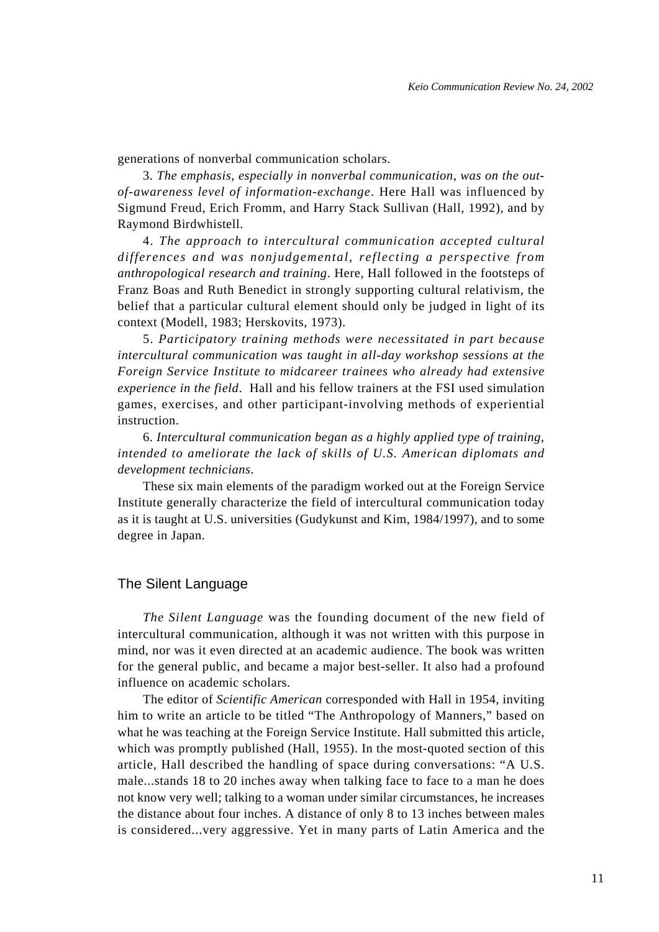generations of nonverbal communication scholars.

3. *The emphasis, especially in nonverbal communication, was on the outof-awareness level of information-exchange*. Here Hall was influenced by Sigmund Freud, Erich Fromm, and Harry Stack Sullivan (Hall, 1992), and by Raymond Birdwhistell.

4. *The approach to intercultural communication accepted cultural differences and was nonjudgemental, reflecting a perspective from anthropological research and training*. Here, Hall followed in the footsteps of Franz Boas and Ruth Benedict in strongly supporting cultural relativism, the belief that a particular cultural element should only be judged in light of its context (Modell, 1983; Herskovits, 1973).

5. *Participatory training methods were necessitated in part because intercultural communication was taught in all-day workshop sessions at the Foreign Service Institute to midcareer trainees who already had extensive experience in the field*. Hall and his fellow trainers at the FSI used simulation games, exercises, and other participant-involving methods of experiential instruction.

6. *Intercultural communication began as a highly applied type of training, intended to ameliorate the lack of skills of U.S. American diplomats and development technicians*.

These six main elements of the paradigm worked out at the Foreign Service Institute generally characterize the field of intercultural communication today as it is taught at U.S. universities (Gudykunst and Kim, 1984/1997), and to some degree in Japan.

#### The Silent Language

*The Silent Language* was the founding document of the new field of intercultural communication, although it was not written with this purpose in mind, nor was it even directed at an academic audience. The book was written for the general public, and became a major best-seller. It also had a profound influence on academic scholars.

The editor of *Scientific American* corresponded with Hall in 1954, inviting him to write an article to be titled "The Anthropology of Manners," based on what he was teaching at the Foreign Service Institute. Hall submitted this article, which was promptly published (Hall, 1955). In the most-quoted section of this article, Hall described the handling of space during conversations: "A U.S. male...stands 18 to 20 inches away when talking face to face to a man he does not know very well; talking to a woman under similar circumstances, he increases the distance about four inches. A distance of only 8 to 13 inches between males is considered...very aggressive. Yet in many parts of Latin America and the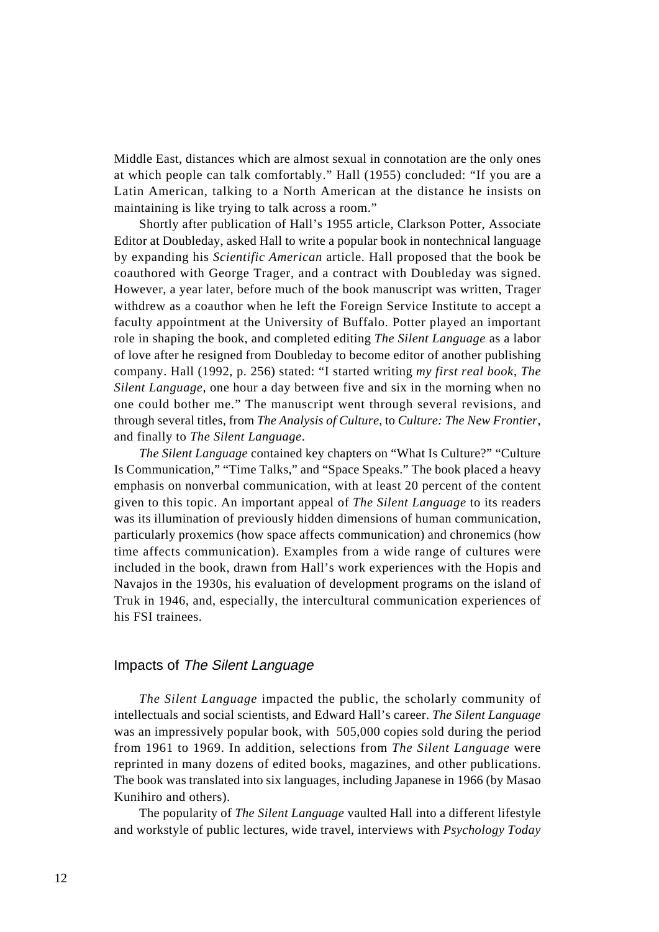Middle East, distances which are almost sexual in connotation are the only ones at which people can talk comfortably." Hall (1955) concluded: "If you are a Latin American, talking to a North American at the distance he insists on maintaining is like trying to talk across a room."

Shortly after publication of Hall's 1955 article, Clarkson Potter, Associate Editor at Doubleday, asked Hall to write a popular book in nontechnical language by expanding his *Scientific American* article. Hall proposed that the book be coauthored with George Trager, and a contract with Doubleday was signed. However, a year later, before much of the book manuscript was written, Trager withdrew as a coauthor when he left the Foreign Service Institute to accept a faculty appointment at the University of Buffalo. Potter played an important role in shaping the book, and completed editing *The Silent Language* as a labor of love after he resigned from Doubleday to become editor of another publishing company. Hall (1992, p. 256) stated: "I started writing *my first real book*, *The Silent Language*, one hour a day between five and six in the morning when no one could bother me." The manuscript went through several revisions, and through several titles, from *The Analysis of Culture*, to *Culture: The New Frontier*, and finally to *The Silent Language*.

*The Silent Language* contained key chapters on "What Is Culture?" "Culture Is Communication," "Time Talks," and "Space Speaks." The book placed a heavy emphasis on nonverbal communication, with at least 20 percent of the content given to this topic. An important appeal of *The Silent Language* to its readers was its illumination of previously hidden dimensions of human communication, particularly proxemics (how space affects communication) and chronemics (how time affects communication). Examples from a wide range of cultures were included in the book, drawn from Hall's work experiences with the Hopis and Navajos in the 1930s, his evaluation of development programs on the island of Truk in 1946, and, especially, the intercultural communication experiences of his FSI trainees.

### Impacts of The Silent Language

*The Silent Language* impacted the public, the scholarly community of intellectuals and social scientists, and Edward Hall's career. *The Silent Language* was an impressively popular book, with 505,000 copies sold during the period from 1961 to 1969. In addition, selections from *The Silent Language* were reprinted in many dozens of edited books, magazines, and other publications. The book was translated into six languages, including Japanese in 1966 (by Masao Kunihiro and others).

The popularity of *The Silent Language* vaulted Hall into a different lifestyle and workstyle of public lectures, wide travel, interviews with *Psychology Today*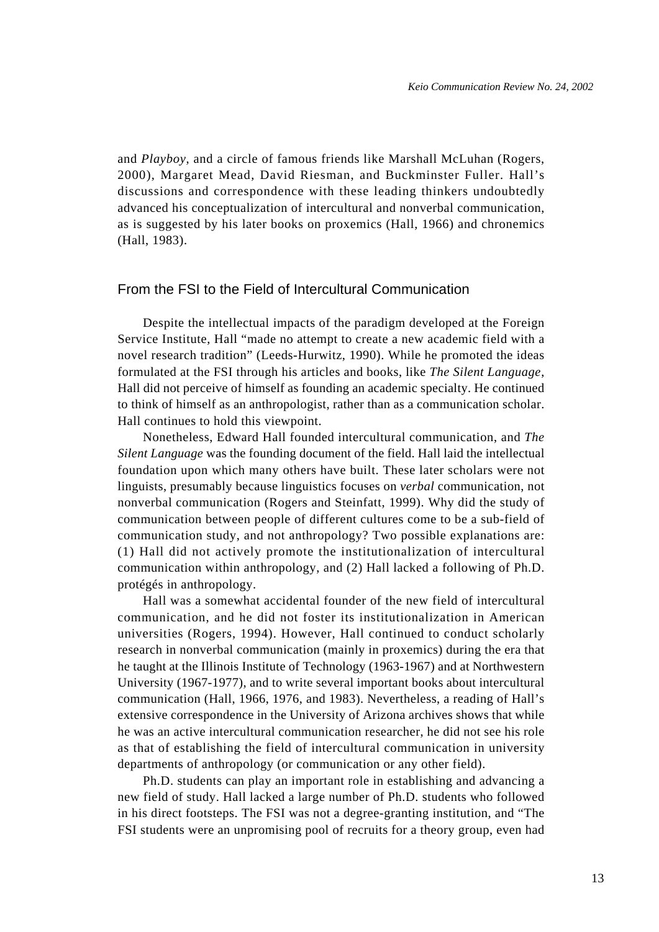and *Playboy*, and a circle of famous friends like Marshall McLuhan (Rogers, 2000), Margaret Mead, David Riesman, and Buckminster Fuller. Hall's discussions and correspondence with these leading thinkers undoubtedly advanced his conceptualization of intercultural and nonverbal communication, as is suggested by his later books on proxemics (Hall, 1966) and chronemics (Hall, 1983).

## From the FSI to the Field of Intercultural Communication

Despite the intellectual impacts of the paradigm developed at the Foreign Service Institute, Hall "made no attempt to create a new academic field with a novel research tradition" (Leeds-Hurwitz, 1990). While he promoted the ideas formulated at the FSI through his articles and books, like *The Silent Language*, Hall did not perceive of himself as founding an academic specialty. He continued to think of himself as an anthropologist, rather than as a communication scholar. Hall continues to hold this viewpoint.

Nonetheless, Edward Hall founded intercultural communication, and *The Silent Language* was the founding document of the field. Hall laid the intellectual foundation upon which many others have built. These later scholars were not linguists, presumably because linguistics focuses on *verbal* communication, not nonverbal communication (Rogers and Steinfatt, 1999). Why did the study of communication between people of different cultures come to be a sub-field of communication study, and not anthropology? Two possible explanations are: (1) Hall did not actively promote the institutionalization of intercultural communication within anthropology, and (2) Hall lacked a following of Ph.D. protégés in anthropology.

Hall was a somewhat accidental founder of the new field of intercultural communication, and he did not foster its institutionalization in American universities (Rogers, 1994). However, Hall continued to conduct scholarly research in nonverbal communication (mainly in proxemics) during the era that he taught at the Illinois Institute of Technology (1963-1967) and at Northwestern University (1967-1977), and to write several important books about intercultural communication (Hall, 1966, 1976, and 1983). Nevertheless, a reading of Hall's extensive correspondence in the University of Arizona archives shows that while he was an active intercultural communication researcher, he did not see his role as that of establishing the field of intercultural communication in university departments of anthropology (or communication or any other field).

Ph.D. students can play an important role in establishing and advancing a new field of study. Hall lacked a large number of Ph.D. students who followed in his direct footsteps. The FSI was not a degree-granting institution, and "The FSI students were an unpromising pool of recruits for a theory group, even had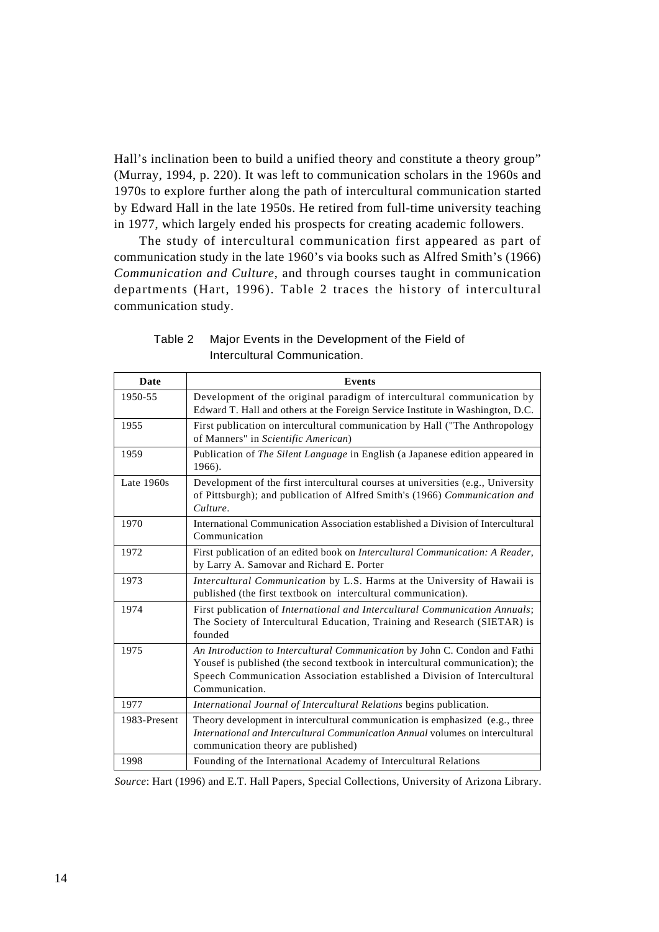Hall's inclination been to build a unified theory and constitute a theory group" (Murray, 1994, p. 220). It was left to communication scholars in the 1960s and 1970s to explore further along the path of intercultural communication started by Edward Hall in the late 1950s. He retired from full-time university teaching in 1977, which largely ended his prospects for creating academic followers.

The study of intercultural communication first appeared as part of communication study in the late 1960's via books such as Alfred Smith's (1966) *Communication and Culture*, and through courses taught in communication departments (Hart, 1996). Table 2 traces the history of intercultural communication study.

| Date         | <b>Events</b>                                                                                                                                                                                                                                             |
|--------------|-----------------------------------------------------------------------------------------------------------------------------------------------------------------------------------------------------------------------------------------------------------|
| 1950-55      | Development of the original paradigm of intercultural communication by<br>Edward T. Hall and others at the Foreign Service Institute in Washington, D.C.                                                                                                  |
| 1955         | First publication on intercultural communication by Hall ("The Anthropology<br>of Manners" in Scientific American)                                                                                                                                        |
| 1959         | Publication of The Silent Language in English (a Japanese edition appeared in<br>1966).                                                                                                                                                                   |
| Late $1960s$ | Development of the first intercultural courses at universities (e.g., University<br>of Pittsburgh); and publication of Alfred Smith's (1966) Communication and<br>Culture.                                                                                |
| 1970         | International Communication Association established a Division of Intercultural<br>Communication                                                                                                                                                          |
| 1972         | First publication of an edited book on Intercultural Communication: A Reader,<br>by Larry A. Samovar and Richard E. Porter                                                                                                                                |
| 1973         | Intercultural Communication by L.S. Harms at the University of Hawaii is<br>published (the first textbook on intercultural communication).                                                                                                                |
| 1974         | First publication of International and Intercultural Communication Annuals;<br>The Society of Intercultural Education, Training and Research (SIETAR) is<br>founded                                                                                       |
| 1975         | An Introduction to Intercultural Communication by John C. Condon and Fathi<br>Yousef is published (the second textbook in intercultural communication); the<br>Speech Communication Association established a Division of Intercultural<br>Communication. |
| 1977         | International Journal of Intercultural Relations begins publication.                                                                                                                                                                                      |
| 1983-Present | Theory development in intercultural communication is emphasized (e.g., three<br>International and Intercultural Communication Annual volumes on intercultural<br>communication theory are published)                                                      |
| 1998         | Founding of the International Academy of Intercultural Relations                                                                                                                                                                                          |

| Table 2 | Major Events in the Development of the Field of |
|---------|-------------------------------------------------|
|         | Intercultural Communication.                    |

*Source*: Hart (1996) and E.T. Hall Papers, Special Collections, University of Arizona Library.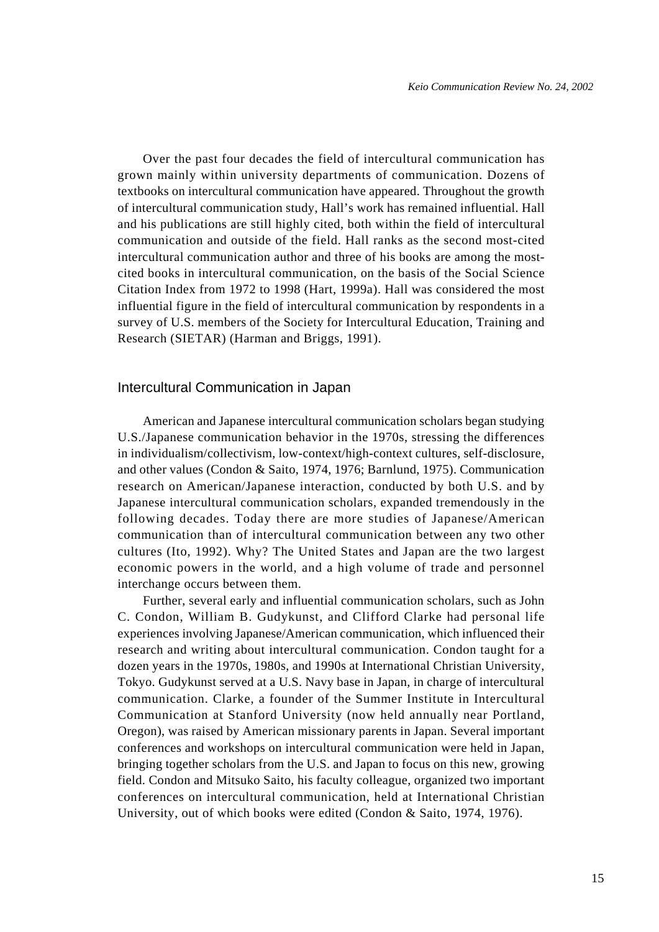Over the past four decades the field of intercultural communication has grown mainly within university departments of communication. Dozens of textbooks on intercultural communication have appeared. Throughout the growth of intercultural communication study, Hall's work has remained influential. Hall and his publications are still highly cited, both within the field of intercultural communication and outside of the field. Hall ranks as the second most-cited intercultural communication author and three of his books are among the mostcited books in intercultural communication, on the basis of the Social Science Citation Index from 1972 to 1998 (Hart, 1999a). Hall was considered the most influential figure in the field of intercultural communication by respondents in a survey of U.S. members of the Society for Intercultural Education, Training and Research (SIETAR) (Harman and Briggs, 1991).

#### Intercultural Communication in Japan

American and Japanese intercultural communication scholars began studying U.S./Japanese communication behavior in the 1970s, stressing the differences in individualism/collectivism, low-context/high-context cultures, self-disclosure, and other values (Condon & Saito, 1974, 1976; Barnlund, 1975). Communication research on American/Japanese interaction, conducted by both U.S. and by Japanese intercultural communication scholars, expanded tremendously in the following decades. Today there are more studies of Japanese/American communication than of intercultural communication between any two other cultures (Ito, 1992). Why? The United States and Japan are the two largest economic powers in the world, and a high volume of trade and personnel interchange occurs between them.

Further, several early and influential communication scholars, such as John C. Condon, William B. Gudykunst, and Clifford Clarke had personal life experiences involving Japanese/American communication, which influenced their research and writing about intercultural communication. Condon taught for a dozen years in the 1970s, 1980s, and 1990s at International Christian University, Tokyo. Gudykunst served at a U.S. Navy base in Japan, in charge of intercultural communication. Clarke, a founder of the Summer Institute in Intercultural Communication at Stanford University (now held annually near Portland, Oregon), was raised by American missionary parents in Japan. Several important conferences and workshops on intercultural communication were held in Japan, bringing together scholars from the U.S. and Japan to focus on this new, growing field. Condon and Mitsuko Saito, his faculty colleague, organized two important conferences on intercultural communication, held at International Christian University, out of which books were edited (Condon & Saito, 1974, 1976).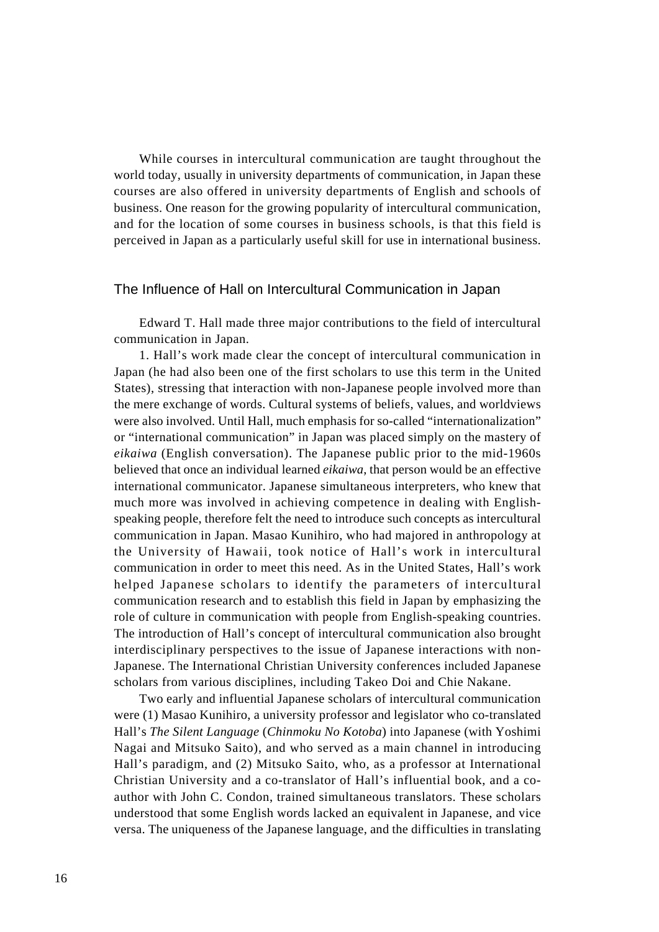While courses in intercultural communication are taught throughout the world today, usually in university departments of communication, in Japan these courses are also offered in university departments of English and schools of business. One reason for the growing popularity of intercultural communication, and for the location of some courses in business schools, is that this field is perceived in Japan as a particularly useful skill for use in international business.

#### The Influence of Hall on Intercultural Communication in Japan

Edward T. Hall made three major contributions to the field of intercultural communication in Japan.

1. Hall's work made clear the concept of intercultural communication in Japan (he had also been one of the first scholars to use this term in the United States), stressing that interaction with non-Japanese people involved more than the mere exchange of words. Cultural systems of beliefs, values, and worldviews were also involved. Until Hall, much emphasis for so-called "internationalization" or "international communication" in Japan was placed simply on the mastery of *eikaiwa* (English conversation). The Japanese public prior to the mid-1960s believed that once an individual learned *eikaiwa*, that person would be an effective international communicator. Japanese simultaneous interpreters, who knew that much more was involved in achieving competence in dealing with Englishspeaking people, therefore felt the need to introduce such concepts as intercultural communication in Japan. Masao Kunihiro, who had majored in anthropology at the University of Hawaii, took notice of Hall's work in intercultural communication in order to meet this need. As in the United States, Hall's work helped Japanese scholars to identify the parameters of intercultural communication research and to establish this field in Japan by emphasizing the role of culture in communication with people from English-speaking countries. The introduction of Hall's concept of intercultural communication also brought interdisciplinary perspectives to the issue of Japanese interactions with non-Japanese. The International Christian University conferences included Japanese scholars from various disciplines, including Takeo Doi and Chie Nakane.

Two early and influential Japanese scholars of intercultural communication were (1) Masao Kunihiro, a university professor and legislator who co-translated Hall's *The Silent Language* (*Chinmoku No Kotoba*) into Japanese (with Yoshimi Nagai and Mitsuko Saito), and who served as a main channel in introducing Hall's paradigm, and (2) Mitsuko Saito, who, as a professor at International Christian University and a co-translator of Hall's influential book, and a coauthor with John C. Condon, trained simultaneous translators. These scholars understood that some English words lacked an equivalent in Japanese, and vice versa. The uniqueness of the Japanese language, and the difficulties in translating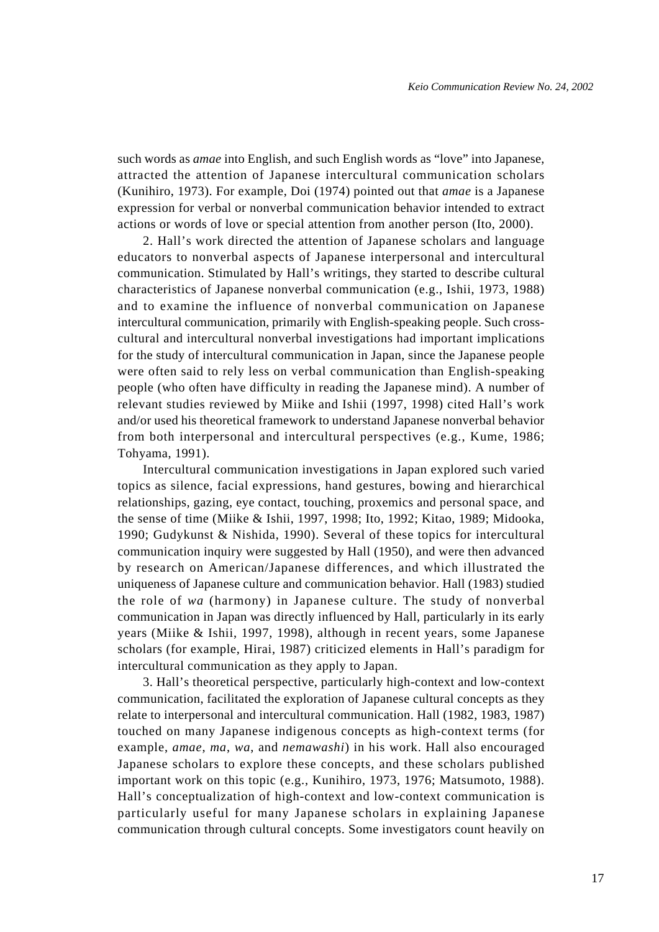such words as *amae* into English, and such English words as "love" into Japanese, attracted the attention of Japanese intercultural communication scholars (Kunihiro, 1973). For example, Doi (1974) pointed out that *amae* is a Japanese expression for verbal or nonverbal communication behavior intended to extract actions or words of love or special attention from another person (Ito, 2000).

2. Hall's work directed the attention of Japanese scholars and language educators to nonverbal aspects of Japanese interpersonal and intercultural communication. Stimulated by Hall's writings, they started to describe cultural characteristics of Japanese nonverbal communication (e.g., Ishii, 1973, 1988) and to examine the influence of nonverbal communication on Japanese intercultural communication, primarily with English-speaking people. Such crosscultural and intercultural nonverbal investigations had important implications for the study of intercultural communication in Japan, since the Japanese people were often said to rely less on verbal communication than English-speaking people (who often have difficulty in reading the Japanese mind). A number of relevant studies reviewed by Miike and Ishii (1997, 1998) cited Hall's work and/or used his theoretical framework to understand Japanese nonverbal behavior from both interpersonal and intercultural perspectives (e.g., Kume, 1986; Tohyama, 1991).

Intercultural communication investigations in Japan explored such varied topics as silence, facial expressions, hand gestures, bowing and hierarchical relationships, gazing, eye contact, touching, proxemics and personal space, and the sense of time (Miike & Ishii, 1997, 1998; Ito, 1992; Kitao, 1989; Midooka, 1990; Gudykunst & Nishida, 1990). Several of these topics for intercultural communication inquiry were suggested by Hall (1950), and were then advanced by research on American/Japanese differences, and which illustrated the uniqueness of Japanese culture and communication behavior. Hall (1983) studied the role of *wa* (harmony) in Japanese culture. The study of nonverbal communication in Japan was directly influenced by Hall, particularly in its early years (Miike & Ishii, 1997, 1998), although in recent years, some Japanese scholars (for example, Hirai, 1987) criticized elements in Hall's paradigm for intercultural communication as they apply to Japan.

3. Hall's theoretical perspective, particularly high-context and low-context communication, facilitated the exploration of Japanese cultural concepts as they relate to interpersonal and intercultural communication. Hall (1982, 1983, 1987) touched on many Japanese indigenous concepts as high-context terms (for example, *amae*, *ma*, *wa*, and *nemawashi*) in his work. Hall also encouraged Japanese scholars to explore these concepts, and these scholars published important work on this topic (e.g., Kunihiro, 1973, 1976; Matsumoto, 1988). Hall's conceptualization of high-context and low-context communication is particularly useful for many Japanese scholars in explaining Japanese communication through cultural concepts. Some investigators count heavily on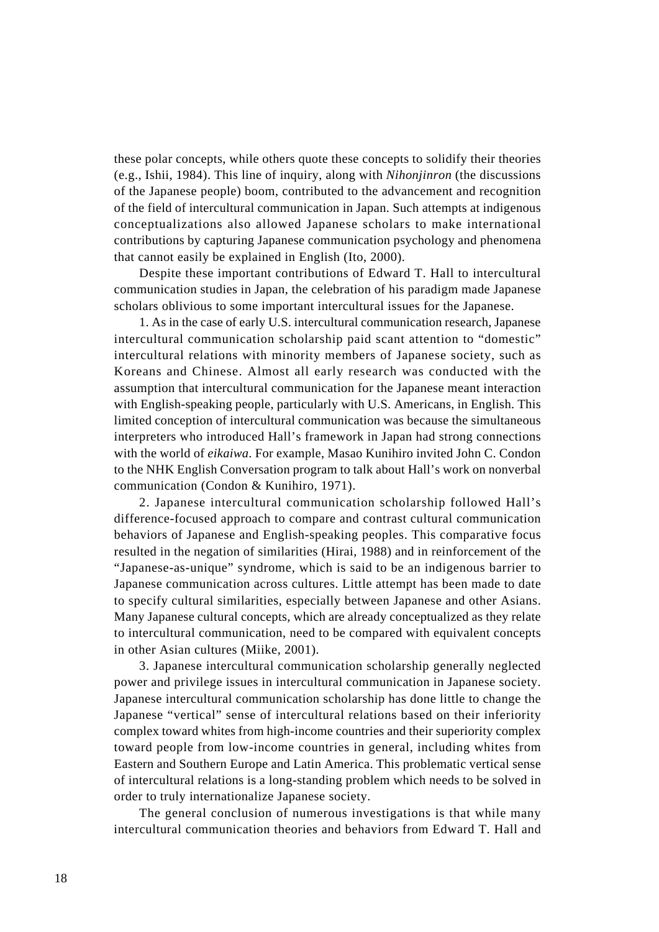these polar concepts, while others quote these concepts to solidify their theories (e.g., Ishii, 1984). This line of inquiry, along with *Nihonjinron* (the discussions of the Japanese people) boom, contributed to the advancement and recognition of the field of intercultural communication in Japan. Such attempts at indigenous conceptualizations also allowed Japanese scholars to make international contributions by capturing Japanese communication psychology and phenomena that cannot easily be explained in English (Ito, 2000).

Despite these important contributions of Edward T. Hall to intercultural communication studies in Japan, the celebration of his paradigm made Japanese scholars oblivious to some important intercultural issues for the Japanese.

1. As in the case of early U.S. intercultural communication research, Japanese intercultural communication scholarship paid scant attention to "domestic" intercultural relations with minority members of Japanese society, such as Koreans and Chinese. Almost all early research was conducted with the assumption that intercultural communication for the Japanese meant interaction with English-speaking people, particularly with U.S. Americans, in English. This limited conception of intercultural communication was because the simultaneous interpreters who introduced Hall's framework in Japan had strong connections with the world of *eikaiwa*. For example, Masao Kunihiro invited John C. Condon to the NHK English Conversation program to talk about Hall's work on nonverbal communication (Condon & Kunihiro, 1971).

2. Japanese intercultural communication scholarship followed Hall's difference-focused approach to compare and contrast cultural communication behaviors of Japanese and English-speaking peoples. This comparative focus resulted in the negation of similarities (Hirai, 1988) and in reinforcement of the "Japanese-as-unique" syndrome, which is said to be an indigenous barrier to Japanese communication across cultures. Little attempt has been made to date to specify cultural similarities, especially between Japanese and other Asians. Many Japanese cultural concepts, which are already conceptualized as they relate to intercultural communication, need to be compared with equivalent concepts in other Asian cultures (Miike, 2001).

3. Japanese intercultural communication scholarship generally neglected power and privilege issues in intercultural communication in Japanese society. Japanese intercultural communication scholarship has done little to change the Japanese "vertical" sense of intercultural relations based on their inferiority complex toward whites from high-income countries and their superiority complex toward people from low-income countries in general, including whites from Eastern and Southern Europe and Latin America. This problematic vertical sense of intercultural relations is a long-standing problem which needs to be solved in order to truly internationalize Japanese society.

The general conclusion of numerous investigations is that while many intercultural communication theories and behaviors from Edward T. Hall and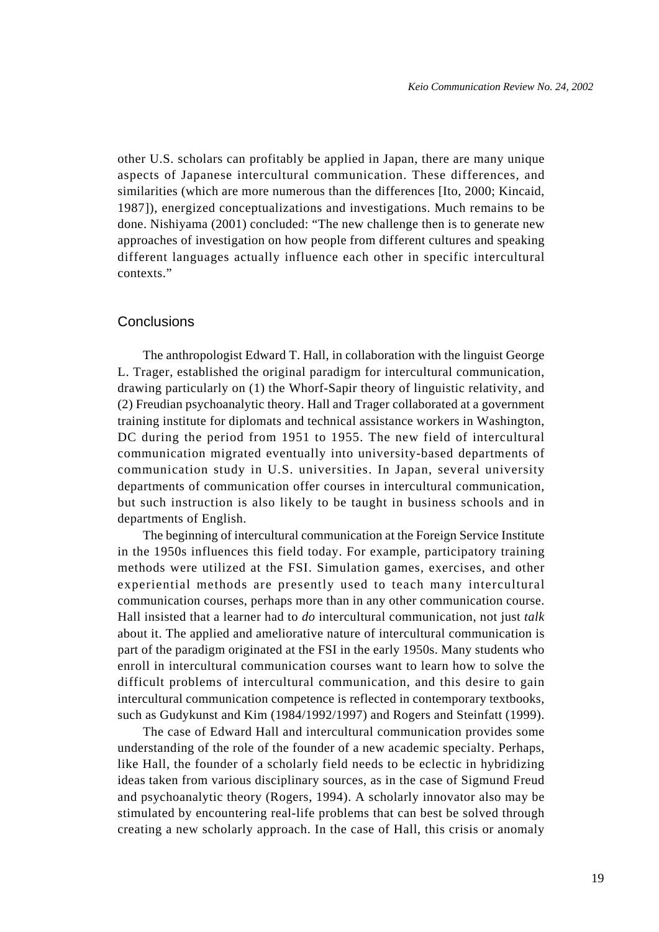other U.S. scholars can profitably be applied in Japan, there are many unique aspects of Japanese intercultural communication. These differences, and similarities (which are more numerous than the differences [Ito, 2000; Kincaid, 1987]), energized conceptualizations and investigations. Much remains to be done. Nishiyama (2001) concluded: "The new challenge then is to generate new approaches of investigation on how people from different cultures and speaking different languages actually influence each other in specific intercultural contexts."

#### **Conclusions**

The anthropologist Edward T. Hall, in collaboration with the linguist George L. Trager, established the original paradigm for intercultural communication, drawing particularly on (1) the Whorf-Sapir theory of linguistic relativity, and (2) Freudian psychoanalytic theory. Hall and Trager collaborated at a government training institute for diplomats and technical assistance workers in Washington, DC during the period from 1951 to 1955. The new field of intercultural communication migrated eventually into university-based departments of communication study in U.S. universities. In Japan, several university departments of communication offer courses in intercultural communication, but such instruction is also likely to be taught in business schools and in departments of English.

The beginning of intercultural communication at the Foreign Service Institute in the 1950s influences this field today. For example, participatory training methods were utilized at the FSI. Simulation games, exercises, and other experiential methods are presently used to teach many intercultural communication courses, perhaps more than in any other communication course. Hall insisted that a learner had to *do* intercultural communication, not just *talk* about it. The applied and ameliorative nature of intercultural communication is part of the paradigm originated at the FSI in the early 1950s. Many students who enroll in intercultural communication courses want to learn how to solve the difficult problems of intercultural communication, and this desire to gain intercultural communication competence is reflected in contemporary textbooks, such as Gudykunst and Kim (1984/1992/1997) and Rogers and Steinfatt (1999).

The case of Edward Hall and intercultural communication provides some understanding of the role of the founder of a new academic specialty. Perhaps, like Hall, the founder of a scholarly field needs to be eclectic in hybridizing ideas taken from various disciplinary sources, as in the case of Sigmund Freud and psychoanalytic theory (Rogers, 1994). A scholarly innovator also may be stimulated by encountering real-life problems that can best be solved through creating a new scholarly approach. In the case of Hall, this crisis or anomaly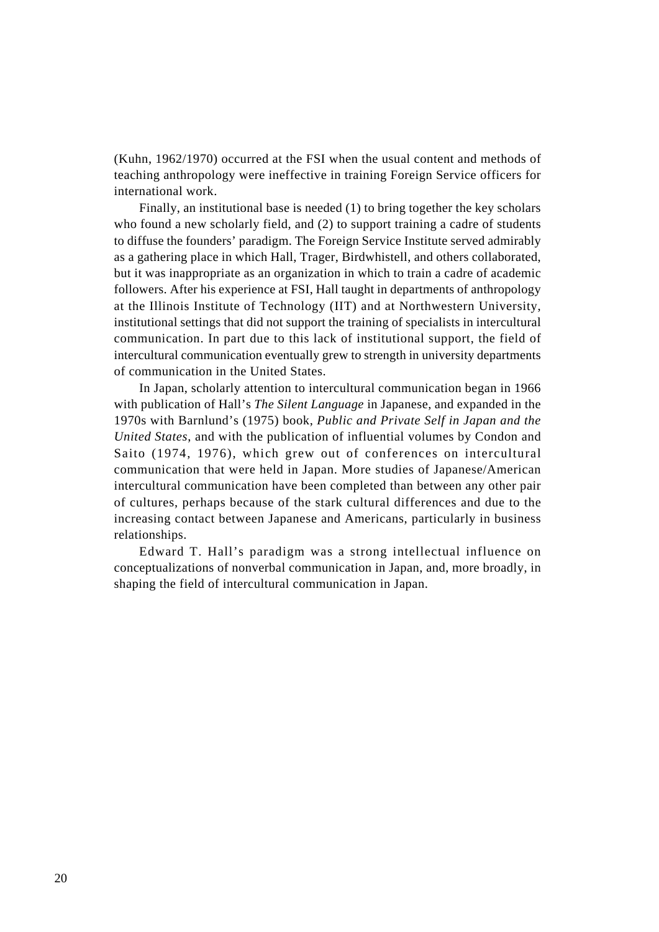(Kuhn, 1962/1970) occurred at the FSI when the usual content and methods of teaching anthropology were ineffective in training Foreign Service officers for international work.

Finally, an institutional base is needed (1) to bring together the key scholars who found a new scholarly field, and (2) to support training a cadre of students to diffuse the founders' paradigm. The Foreign Service Institute served admirably as a gathering place in which Hall, Trager, Birdwhistell, and others collaborated, but it was inappropriate as an organization in which to train a cadre of academic followers. After his experience at FSI, Hall taught in departments of anthropology at the Illinois Institute of Technology (IIT) and at Northwestern University, institutional settings that did not support the training of specialists in intercultural communication. In part due to this lack of institutional support, the field of intercultural communication eventually grew to strength in university departments of communication in the United States.

In Japan, scholarly attention to intercultural communication began in 1966 with publication of Hall's *The Silent Language* in Japanese, and expanded in the 1970s with Barnlund's (1975) book, *Public and Private Self in Japan and the United States*, and with the publication of influential volumes by Condon and Saito (1974, 1976), which grew out of conferences on intercultural communication that were held in Japan. More studies of Japanese/American intercultural communication have been completed than between any other pair of cultures, perhaps because of the stark cultural differences and due to the increasing contact between Japanese and Americans, particularly in business relationships.

Edward T. Hall's paradigm was a strong intellectual influence on conceptualizations of nonverbal communication in Japan, and, more broadly, in shaping the field of intercultural communication in Japan.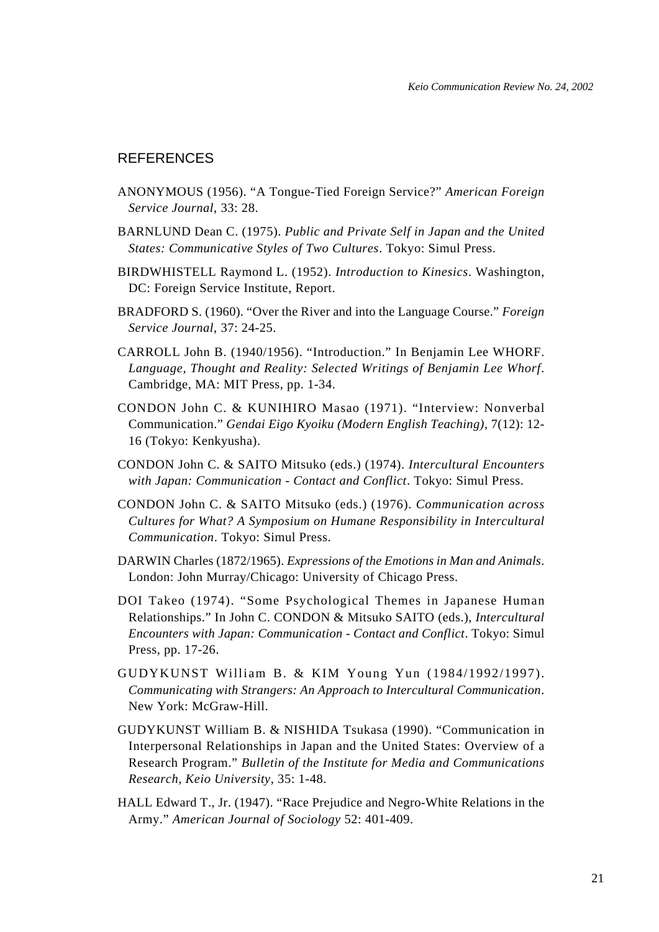# **REFERENCES**

- ANONYMOUS (1956). "A Tongue-Tied Foreign Service?" *American Foreign Service Journal*, 33: 28.
- BARNLUND Dean C. (1975). *Public and Private Self in Japan and the United States: Communicative Styles of Two Cultures*. Tokyo: Simul Press.
- BIRDWHISTELL Raymond L. (1952). *Introduction to Kinesics*. Washington, DC: Foreign Service Institute, Report.
- BRADFORD S. (1960). "Over the River and into the Language Course." *Foreign Service Journal*, 37: 24-25.
- CARROLL John B. (1940/1956). "Introduction." In Benjamin Lee WHORF. *Language, Thought and Reality: Selected Writings of Benjamin Lee Whorf*. Cambridge, MA: MIT Press, pp. 1-34.
- CONDON John C. & KUNIHIRO Masao (1971). "Interview: Nonverbal Communication." *Gendai Eigo Kyoiku (Modern English Teaching)*, 7(12): 12- 16 (Tokyo: Kenkyusha).
- CONDON John C. & SAITO Mitsuko (eds.) (1974). *Intercultural Encounters with Japan: Communication - Contact and Conflict*. Tokyo: Simul Press.
- CONDON John C. & SAITO Mitsuko (eds.) (1976). *Communication across Cultures for What? A Symposium on Humane Responsibility in Intercultural Communication*. Tokyo: Simul Press.
- DARWIN Charles (1872/1965). *Expressions of the Emotions in Man and Animals*. London: John Murray/Chicago: University of Chicago Press.
- DOI Takeo (1974). "Some Psychological Themes in Japanese Human Relationships." In John C. CONDON & Mitsuko SAITO (eds.), *Intercultural Encounters with Japan: Communication - Contact and Conflict*. Tokyo: Simul Press, pp. 17-26.
- GUDYKUNST William B. & KIM Young Yun (1984/1992/1997). *Communicating with Strangers: An Approach to Intercultural Communication*. New York: McGraw-Hill.
- GUDYKUNST William B. & NISHIDA Tsukasa (1990). "Communication in Interpersonal Relationships in Japan and the United States: Overview of a Research Program." *Bulletin of the Institute for Media and Communications Research, Keio University*, 35: 1-48.
- HALL Edward T., Jr. (1947). "Race Prejudice and Negro-White Relations in the Army." *American Journal of Sociology* 52: 401-409.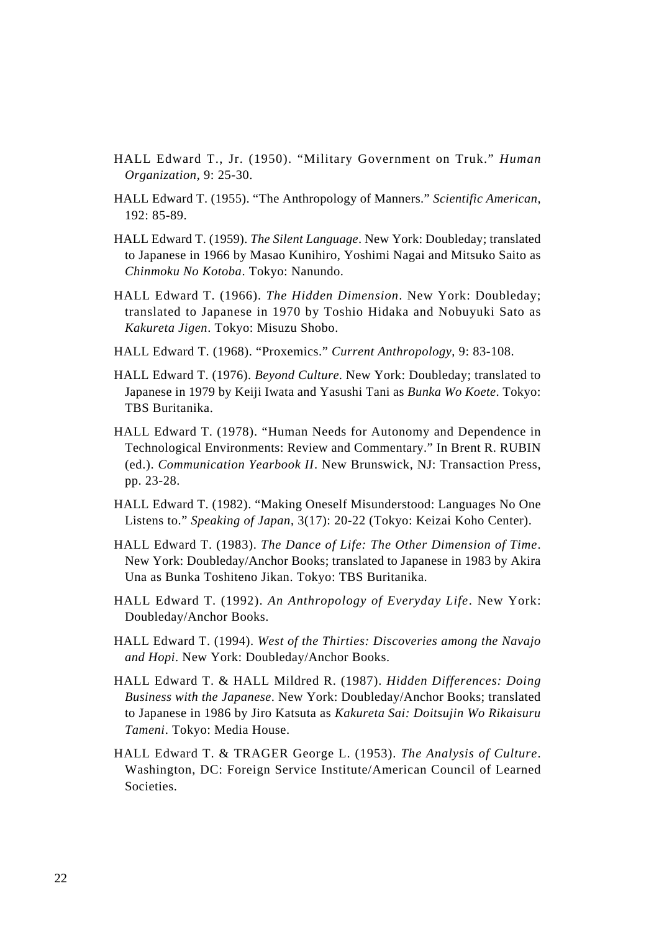- HALL Edward T., Jr. (1950). "Military Government on Truk." *Human Organization*, 9: 25-30.
- HALL Edward T. (1955). "The Anthropology of Manners." *Scientific American*,  $192.85 - 89$
- HALL Edward T. (1959). *The Silent Language*. New York: Doubleday; translated to Japanese in 1966 by Masao Kunihiro, Yoshimi Nagai and Mitsuko Saito as *Chinmoku No Kotoba*. Tokyo: Nanundo.
- HALL Edward T. (1966). *The Hidden Dimension*. New York: Doubleday; translated to Japanese in 1970 by Toshio Hidaka and Nobuyuki Sato as *Kakureta Jigen*. Tokyo: Misuzu Shobo.
- HALL Edward T. (1968). "Proxemics." *Current Anthropology*, 9: 83-108.
- HALL Edward T. (1976). *Beyond Culture*. New York: Doubleday; translated to Japanese in 1979 by Keiji Iwata and Yasushi Tani as *Bunka Wo Koete*. Tokyo: TBS Buritanika.
- HALL Edward T. (1978). "Human Needs for Autonomy and Dependence in Technological Environments: Review and Commentary." In Brent R. RUBIN (ed.). *Communication Yearbook II*. New Brunswick, NJ: Transaction Press, pp. 23-28.
- HALL Edward T. (1982). "Making Oneself Misunderstood: Languages No One Listens to." *Speaking of Japan*, 3(17): 20-22 (Tokyo: Keizai Koho Center).
- HALL Edward T. (1983). *The Dance of Life: The Other Dimension of Time*. New York: Doubleday/Anchor Books; translated to Japanese in 1983 by Akira Una as Bunka Toshiteno Jikan. Tokyo: TBS Buritanika.
- HALL Edward T. (1992). *An Anthropology of Everyday Life*. New York: Doubleday/Anchor Books.
- HALL Edward T. (1994). *West of the Thirties: Discoveries among the Navajo and Hopi*. New York: Doubleday/Anchor Books.
- HALL Edward T. & HALL Mildred R. (1987). *Hidden Differences: Doing Business with the Japanese*. New York: Doubleday/Anchor Books; translated to Japanese in 1986 by Jiro Katsuta as *Kakureta Sai: Doitsujin Wo Rikaisuru Tameni*. Tokyo: Media House.
- HALL Edward T. & TRAGER George L. (1953). *The Analysis of Culture*. Washington, DC: Foreign Service Institute/American Council of Learned Societies.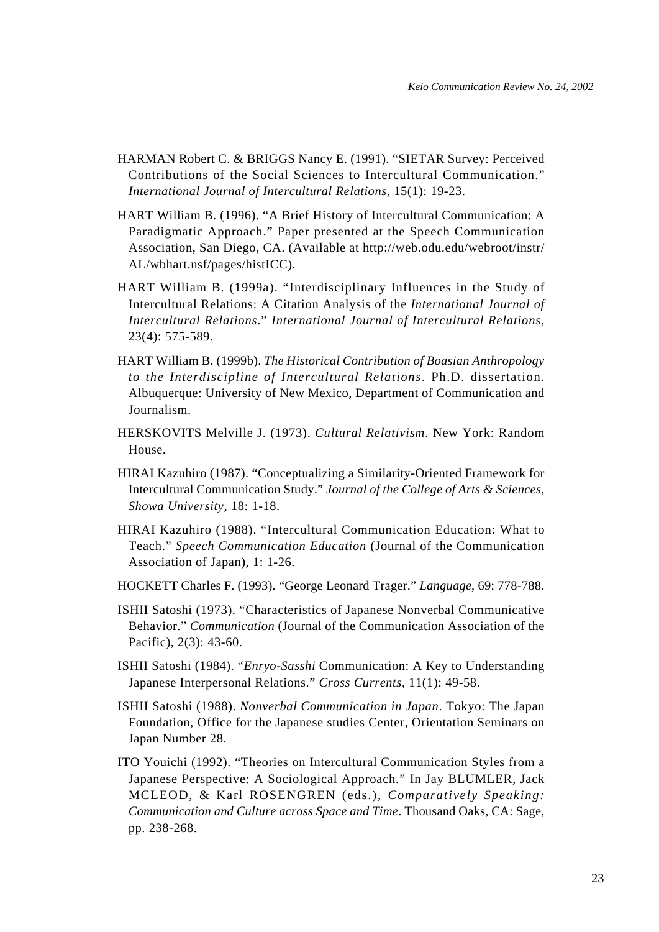- HARMAN Robert C. & BRIGGS Nancy E. (1991). "SIETAR Survey: Perceived Contributions of the Social Sciences to Intercultural Communication." *International Journal of Intercultural Relations*, 15(1): 19-23.
- HART William B. (1996). "A Brief History of Intercultural Communication: A Paradigmatic Approach." Paper presented at the Speech Communication Association, San Diego, CA. (Available at http://web.odu.edu/webroot/instr/ AL/wbhart.nsf/pages/histICC).
- HART William B. (1999a). "Interdisciplinary Influences in the Study of Intercultural Relations: A Citation Analysis of the *International Journal of Intercultural Relations*." *International Journal of Intercultural Relations*, 23(4): 575-589.
- HART William B. (1999b). *The Historical Contribution of Boasian Anthropology to the Interdiscipline of Intercultural Relations*. Ph.D. dissertation. Albuquerque: University of New Mexico, Department of Communication and Journalism.
- HERSKOVITS Melville J. (1973). *Cultural Relativism*. New York: Random House.
- HIRAI Kazuhiro (1987). "Conceptualizing a Similarity-Oriented Framework for Intercultural Communication Study." *Journal of the College of Arts & Sciences, Showa University*, 18: 1-18.
- HIRAI Kazuhiro (1988). "Intercultural Communication Education: What to Teach." *Speech Communication Education* (Journal of the Communication Association of Japan), 1: 1-26.
- HOCKETT Charles F. (1993). "George Leonard Trager." *Language*, 69: 778-788.
- ISHII Satoshi (1973). "Characteristics of Japanese Nonverbal Communicative Behavior." *Communication* (Journal of the Communication Association of the Pacific), 2(3): 43-60.
- ISHII Satoshi (1984). "*Enryo*-*Sasshi* Communication: A Key to Understanding Japanese Interpersonal Relations." *Cross Currents*, 11(1): 49-58.
- ISHII Satoshi (1988). *Nonverbal Communication in Japan*. Tokyo: The Japan Foundation, Office for the Japanese studies Center, Orientation Seminars on Japan Number 28.
- ITO Youichi (1992). "Theories on Intercultural Communication Styles from a Japanese Perspective: A Sociological Approach." In Jay BLUMLER, Jack MCLEOD, & Karl ROSENGREN (eds.), *Comparatively Speaking: Communication and Culture across Space and Time*. Thousand Oaks, CA: Sage, pp. 238-268.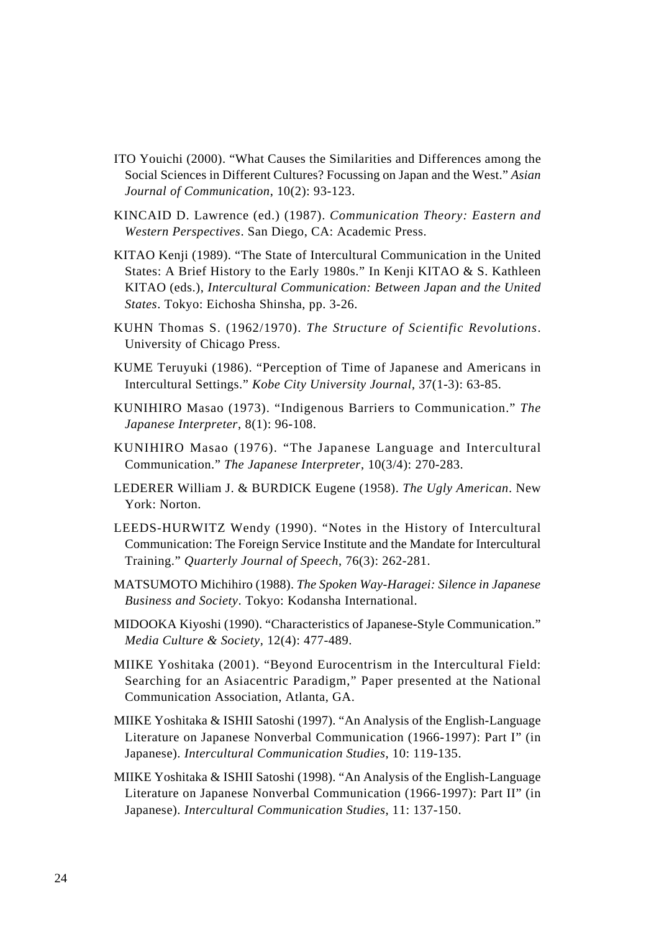- ITO Youichi (2000). "What Causes the Similarities and Differences among the Social Sciences in Different Cultures? Focussing on Japan and the West." *Asian Journal of Communication*, 10(2): 93-123.
- KINCAID D. Lawrence (ed.) (1987). *Communication Theory: Eastern and Western Perspectives*. San Diego, CA: Academic Press.
- KITAO Kenji (1989). "The State of Intercultural Communication in the United States: A Brief History to the Early 1980s." In Kenji KITAO & S. Kathleen KITAO (eds.), *Intercultural Communication: Between Japan and the United States*. Tokyo: Eichosha Shinsha, pp. 3-26.
- KUHN Thomas S. (1962/1970). *The Structure of Scientific Revolutions*. University of Chicago Press.
- KUME Teruyuki (1986). "Perception of Time of Japanese and Americans in Intercultural Settings." *Kobe City University Journal*, 37(1-3): 63-85.
- KUNIHIRO Masao (1973). "Indigenous Barriers to Communication." *The Japanese Interpreter*, 8(1): 96-108.
- KUNIHIRO Masao (1976). "The Japanese Language and Intercultural Communication." *The Japanese Interpreter*, 10(3/4): 270-283.
- LEDERER William J. & BURDICK Eugene (1958). *The Ugly American*. New York: Norton.
- LEEDS-HURWITZ Wendy (1990). "Notes in the History of Intercultural Communication: The Foreign Service Institute and the Mandate for Intercultural Training." *Quarterly Journal of Speech*, 76(3): 262-281.
- MATSUMOTO Michihiro (1988). *The Spoken Way-Haragei: Silence in Japanese Business and Society*. Tokyo: Kodansha International.
- MIDOOKA Kiyoshi (1990). "Characteristics of Japanese-Style Communication." *Media Culture & Society*, 12(4): 477-489.
- MIIKE Yoshitaka (2001). "Beyond Eurocentrism in the Intercultural Field: Searching for an Asiacentric Paradigm," Paper presented at the National Communication Association, Atlanta, GA.
- MIIKE Yoshitaka & ISHII Satoshi (1997). "An Analysis of the English-Language Literature on Japanese Nonverbal Communication (1966-1997): Part I" (in Japanese). *Intercultural Communication Studies*, 10: 119-135.
- MIIKE Yoshitaka & ISHII Satoshi (1998). "An Analysis of the English-Language Literature on Japanese Nonverbal Communication (1966-1997): Part II" (in Japanese). *Intercultural Communication Studies*, 11: 137-150.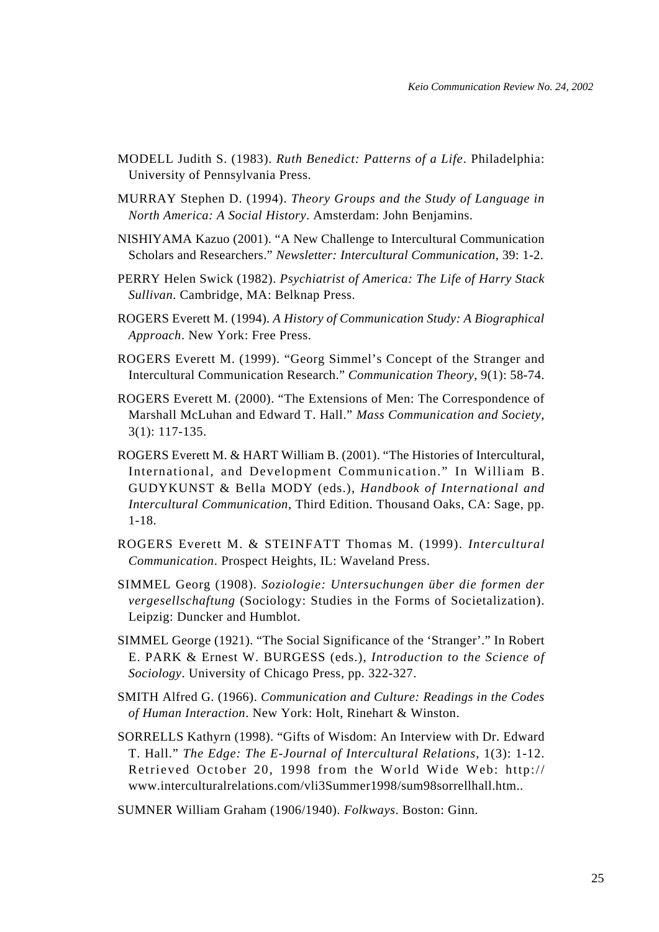- MODELL Judith S. (1983). *Ruth Benedict: Patterns of a Life*. Philadelphia: University of Pennsylvania Press.
- MURRAY Stephen D. (1994). *Theory Groups and the Study of Language in North America: A Social History*. Amsterdam: John Benjamins.
- NISHIYAMA Kazuo (2001). "A New Challenge to Intercultural Communication Scholars and Researchers." *Newsletter: Intercultural Communication*, 39: 1-2.
- PERRY Helen Swick (1982). *Psychiatrist of America: The Life of Harry Stack Sullivan*. Cambridge, MA: Belknap Press.
- ROGERS Everett M. (1994). *A History of Communication Study: A Biographical Approach*. New York: Free Press.
- ROGERS Everett M. (1999). "Georg Simmel's Concept of the Stranger and Intercultural Communication Research." *Communication Theory*, 9(1): 58-74.
- ROGERS Everett M. (2000). "The Extensions of Men: The Correspondence of Marshall McLuhan and Edward T. Hall." *Mass Communication and Society*, 3(1): 117-135.
- ROGERS Everett M. & HART William B. (2001). "The Histories of Intercultural, International, and Development Communication." In William B. GUDYKUNST & Bella MODY (eds.), *Handbook of International and Intercultural Communication*, Third Edition. Thousand Oaks, CA: Sage, pp. 1-18.
- ROGERS Everett M. & STEINFATT Thomas M. (1999). *Intercultural Communication*. Prospect Heights, IL: Waveland Press.
- SIMMEL Georg (1908). *Soziologie: Untersuchungen über die formen der vergesellschaftung* (Sociology: Studies in the Forms of Societalization). Leipzig: Duncker and Humblot.
- SIMMEL George (1921). "The Social Significance of the 'Stranger'." In Robert E. PARK & Ernest W. BURGESS (eds.), *Introduction to the Science of Sociology*. University of Chicago Press, pp. 322-327.
- SMITH Alfred G. (1966). *Communication and Culture: Readings in the Codes of Human Interaction*. New York: Holt, Rinehart & Winston.
- SORRELLS Kathyrn (1998). "Gifts of Wisdom: An Interview with Dr. Edward T. Hall." *The Edge: The E-Journal of Intercultural Relations*, 1(3): 1-12. Retrieved October 20, 1998 from the World Wide Web: http:// www.interculturalrelations.com/vli3Summer1998/sum98sorrellhall.htm..

SUMNER William Graham (1906/1940). *Folkways*. Boston: Ginn.